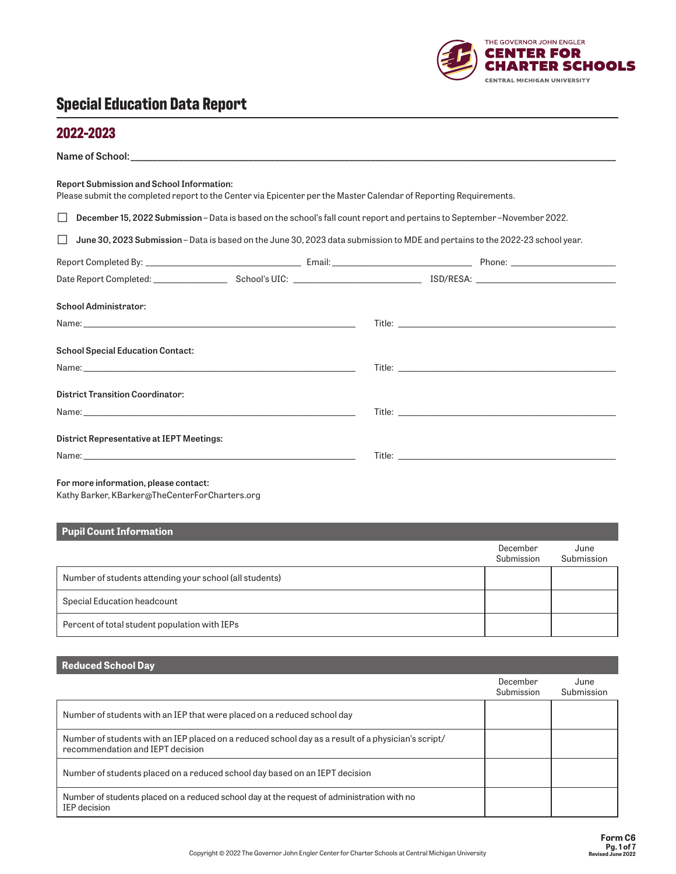

#### **2022-2023**

| Please submit the completed report to the Center via Epicenter per the Master Calendar of Reporting Requirements.             |
|-------------------------------------------------------------------------------------------------------------------------------|
| December 15, 2022 Submission – Data is based on the school's fall count report and pertains to September – November 2022.     |
| June 30, 2023 Submission - Data is based on the June 30, 2023 data submission to MDE and pertains to the 2022-23 school year. |
|                                                                                                                               |
|                                                                                                                               |
|                                                                                                                               |
|                                                                                                                               |
|                                                                                                                               |
|                                                                                                                               |
|                                                                                                                               |
|                                                                                                                               |
|                                                                                                                               |
|                                                                                                                               |
|                                                                                                                               |

Kathy Barker, [KBarker@TheCenterForCharters.org](mailto:KBarker%40TheCenterForCharters.org?subject=)

| <b>Pupil Count Information</b>                          |                        |                    |
|---------------------------------------------------------|------------------------|--------------------|
|                                                         | December<br>Submission | June<br>Submission |
| Number of students attending your school (all students) |                        |                    |
| Special Education headcount                             |                        |                    |
| Percent of total student population with IEPs           |                        |                    |

**Reduced School Day**

| <b>Nounoon</b> Concor Duy                                                                                                              |                        |                    |
|----------------------------------------------------------------------------------------------------------------------------------------|------------------------|--------------------|
|                                                                                                                                        | December<br>Submission | June<br>Submission |
| Number of students with an IEP that were placed on a reduced school day                                                                |                        |                    |
| Number of students with an IEP placed on a reduced school day as a result of a physician's script/<br>recommendation and IEPT decision |                        |                    |
| Number of students placed on a reduced school day based on an IEPT decision                                                            |                        |                    |
| Number of students placed on a reduced school day at the request of administration with no<br>IEP decision                             |                        |                    |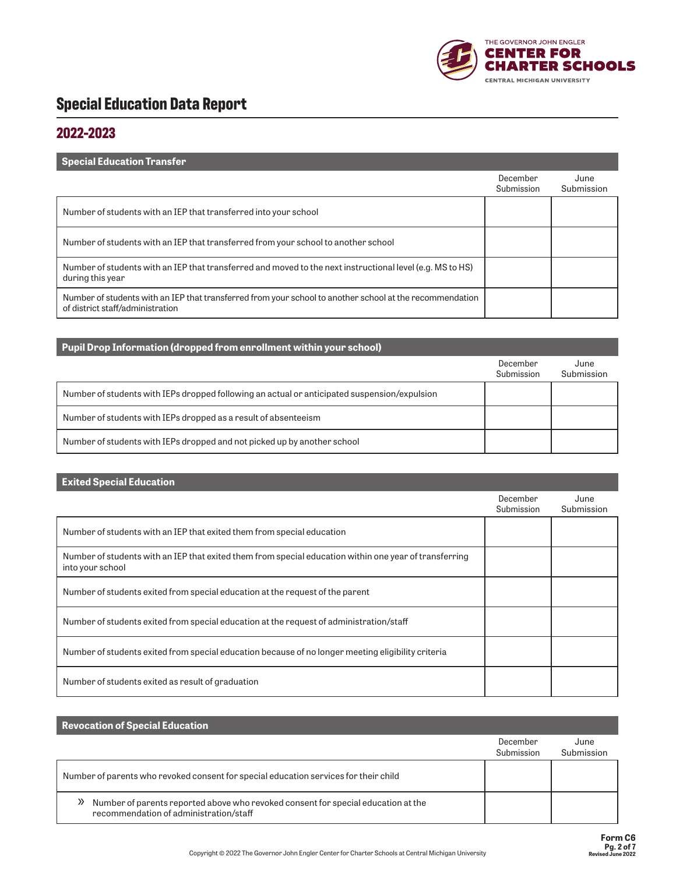

### **2022-2023**

| <b>Special Education Transfer</b>                                                                                                            |                        |                    |
|----------------------------------------------------------------------------------------------------------------------------------------------|------------------------|--------------------|
|                                                                                                                                              | December<br>Submission | June<br>Submission |
| Number of students with an IEP that transferred into your school                                                                             |                        |                    |
| Number of students with an IEP that transferred from your school to another school                                                           |                        |                    |
| Number of students with an IEP that transferred and moved to the next instructional level (e.g. MS to HS)<br>during this year                |                        |                    |
| Number of students with an IEP that transferred from your school to another school at the recommendation<br>of district staff/administration |                        |                    |

| Pupil Drop Information (dropped from enrollment within your school)                          |                        |                    |
|----------------------------------------------------------------------------------------------|------------------------|--------------------|
|                                                                                              | December<br>Submission | June<br>Submission |
| Number of students with IEPs dropped following an actual or anticipated suspension/expulsion |                        |                    |
| Number of students with IEPs dropped as a result of absenteeism                              |                        |                    |
| Number of students with IEPs dropped and not picked up by another school                     |                        |                    |

#### **Exited Special Education**

|                                                                                                                            | December<br>Submission | June<br>Submission |
|----------------------------------------------------------------------------------------------------------------------------|------------------------|--------------------|
| Number of students with an IEP that exited them from special education                                                     |                        |                    |
| Number of students with an IEP that exited them from special education within one year of transferring<br>into your school |                        |                    |
| Number of students exited from special education at the request of the parent                                              |                        |                    |
| Number of students exited from special education at the request of administration/staff                                    |                        |                    |
| Number of students exited from special education because of no longer meeting eligibility criteria                         |                        |                    |
| Number of students exited as result of graduation                                                                          |                        |                    |

| <b>Revocation of Special Education</b>                                                                                      |                        |                    |
|-----------------------------------------------------------------------------------------------------------------------------|------------------------|--------------------|
|                                                                                                                             | December<br>Submission | June<br>Submission |
| Number of parents who revoked consent for special education services for their child                                        |                        |                    |
| Number of parents reported above who revoked consent for special education at the<br>recommendation of administration/staff |                        |                    |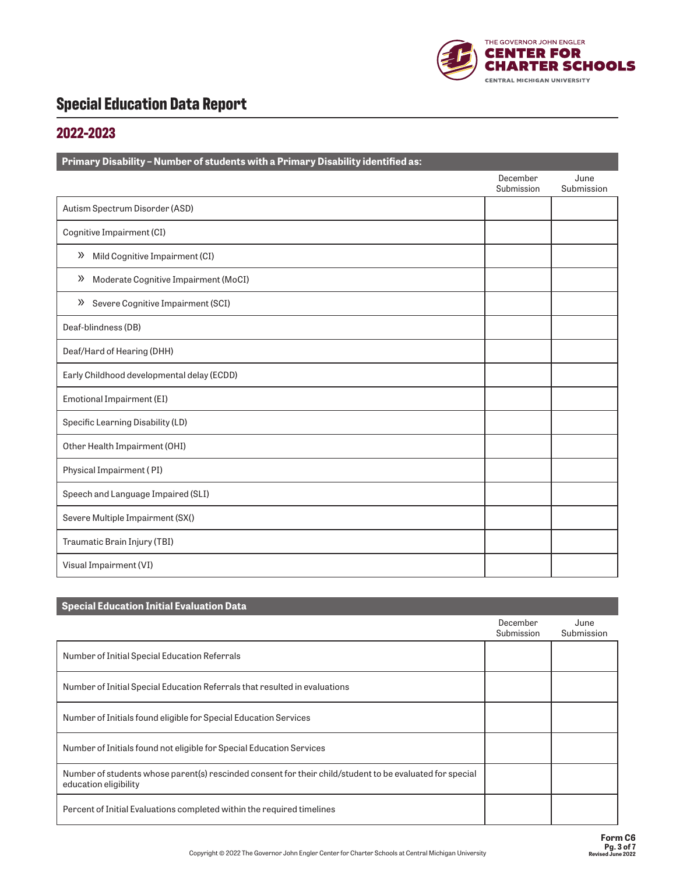

### **2022-2023**

| Primary Disability - Number of students with a Primary Disability identified as: |                        |                    |
|----------------------------------------------------------------------------------|------------------------|--------------------|
|                                                                                  | December<br>Submission | June<br>Submission |
| Autism Spectrum Disorder (ASD)                                                   |                        |                    |
| Cognitive Impairment (CI)                                                        |                        |                    |
| Mild Cognitive Impairment (CI)<br>»                                              |                        |                    |
| Moderate Cognitive Impairment (MoCI)<br>$\gg$                                    |                        |                    |
| >> Severe Cognitive Impairment (SCI)                                             |                        |                    |
| Deaf-blindness (DB)                                                              |                        |                    |
| Deaf/Hard of Hearing (DHH)                                                       |                        |                    |
| Early Childhood developmental delay (ECDD)                                       |                        |                    |
| Emotional Impairment (EI)                                                        |                        |                    |
| Specific Learning Disability (LD)                                                |                        |                    |
| Other Health Impairment (OHI)                                                    |                        |                    |
| Physical Impairment (PI)                                                         |                        |                    |
| Speech and Language Impaired (SLI)                                               |                        |                    |
| Severe Multiple Impairment (SX()                                                 |                        |                    |
| Traumatic Brain Injury (TBI)                                                     |                        |                    |
| Visual Impairment (VI)                                                           |                        |                    |

| <b>Special Education Initial Evaluation Data</b>                                                                                  |                        |                    |
|-----------------------------------------------------------------------------------------------------------------------------------|------------------------|--------------------|
|                                                                                                                                   | December<br>Submission | June<br>Submission |
| Number of Initial Special Education Referrals                                                                                     |                        |                    |
| Number of Initial Special Education Referrals that resulted in evaluations                                                        |                        |                    |
| Number of Initials found eligible for Special Education Services                                                                  |                        |                    |
| Number of Initials found not eligible for Special Education Services                                                              |                        |                    |
| Number of students whose parent(s) rescinded consent for their child/student to be evaluated for special<br>education eligibility |                        |                    |
| Percent of Initial Evaluations completed within the required timelines                                                            |                        |                    |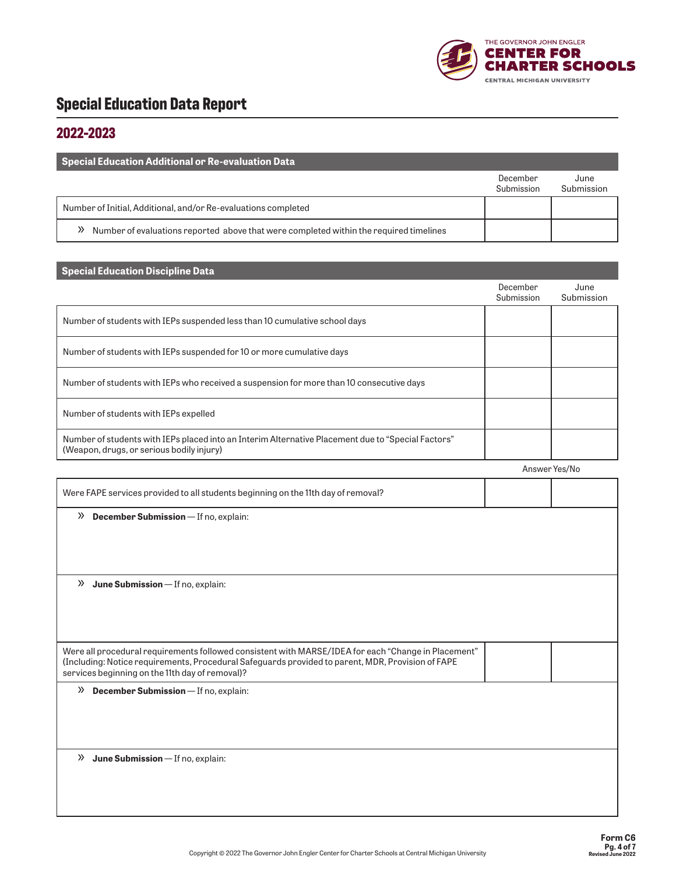

### **2022-2023**

| Special Education Additional or Re-evaluation Data                                              |                        |                    |
|-------------------------------------------------------------------------------------------------|------------------------|--------------------|
|                                                                                                 | December<br>Submission | June<br>Submission |
| Number of Initial, Additional, and/or Re-evaluations completed                                  |                        |                    |
| Number of evaluations reported above that were completed within the required timelines<br>$\gg$ |                        |                    |

| <b>Special Education Discipline Data</b>                                                                                                                                                                                                                    |                        |                    |
|-------------------------------------------------------------------------------------------------------------------------------------------------------------------------------------------------------------------------------------------------------------|------------------------|--------------------|
|                                                                                                                                                                                                                                                             | December<br>Submission | June<br>Submission |
| Number of students with IEPs suspended less than 10 cumulative school days                                                                                                                                                                                  |                        |                    |
| Number of students with IEPs suspended for 10 or more cumulative days                                                                                                                                                                                       |                        |                    |
| Number of students with IEPs who received a suspension for more than 10 consecutive days                                                                                                                                                                    |                        |                    |
| Number of students with IEPs expelled                                                                                                                                                                                                                       |                        |                    |
| Number of students with IEPs placed into an Interim Alternative Placement due to "Special Factors"<br>(Weapon, drugs, or serious bodily injury)                                                                                                             |                        |                    |
|                                                                                                                                                                                                                                                             |                        | Answer Yes/No      |
| Were FAPE services provided to all students beginning on the 11th day of removal?                                                                                                                                                                           |                        |                    |
| $\mathcal{P}$ December Submission - If no, explain:                                                                                                                                                                                                         |                        |                    |
|                                                                                                                                                                                                                                                             |                        |                    |
|                                                                                                                                                                                                                                                             |                        |                    |
| $\mathcal{V}$ June Submission - If no, explain:                                                                                                                                                                                                             |                        |                    |
|                                                                                                                                                                                                                                                             |                        |                    |
|                                                                                                                                                                                                                                                             |                        |                    |
| Were all procedural requirements followed consistent with MARSE/IDEA for each "Change in Placement"<br>(Including: Notice requirements, Procedural Safeguards provided to parent, MDR, Provision of FAPE<br>services beginning on the 11th day of removal)? |                        |                    |
| $\mathcal{P}$ December Submission - If no, explain:                                                                                                                                                                                                         |                        |                    |
|                                                                                                                                                                                                                                                             |                        |                    |
|                                                                                                                                                                                                                                                             |                        |                    |
| $\mathcal{V}$ June Submission - If no, explain:                                                                                                                                                                                                             |                        |                    |
|                                                                                                                                                                                                                                                             |                        |                    |
|                                                                                                                                                                                                                                                             |                        |                    |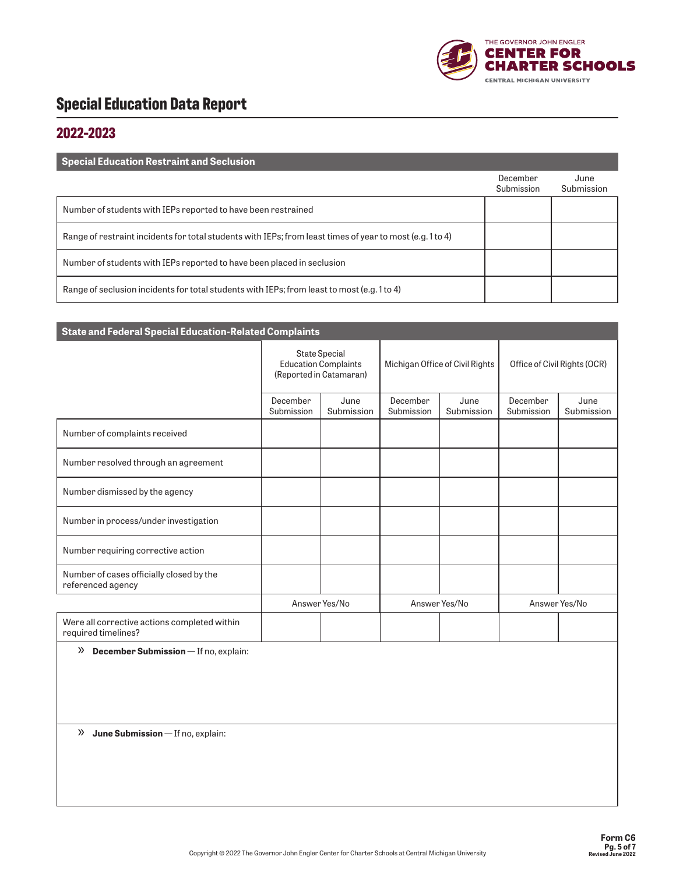

#### **2022-2023**

| <b>Special Education Restraint and Seclusion</b>                                                          |                        |                    |
|-----------------------------------------------------------------------------------------------------------|------------------------|--------------------|
|                                                                                                           | December<br>Submission | June<br>Submission |
| Number of students with IEPs reported to have been restrained                                             |                        |                    |
| Range of restraint incidents for total students with IEPs; from least times of year to most (e.g. 1 to 4) |                        |                    |
| Number of students with IEPs reported to have been placed in seclusion                                    |                        |                    |
| Range of seclusion incidents for total students with IEPs; from least to most (e.g. 1 to 4)               |                        |                    |

| <b>State and Federal Special Education-Related Complaints</b>       |                                                                                |                    |                        |                                 |                              |                    |  |  |  |
|---------------------------------------------------------------------|--------------------------------------------------------------------------------|--------------------|------------------------|---------------------------------|------------------------------|--------------------|--|--|--|
|                                                                     | <b>State Special</b><br><b>Education Complaints</b><br>(Reported in Catamaran) |                    |                        | Michigan Office of Civil Rights | Office of Civil Rights (OCR) |                    |  |  |  |
|                                                                     | December<br>Submission                                                         | June<br>Submission | December<br>Submission | June<br>Submission              | December<br>Submission       | June<br>Submission |  |  |  |
| Number of complaints received                                       |                                                                                |                    |                        |                                 |                              |                    |  |  |  |
| Number resolved through an agreement                                |                                                                                |                    |                        |                                 |                              |                    |  |  |  |
| Number dismissed by the agency                                      |                                                                                |                    |                        |                                 |                              |                    |  |  |  |
| Number in process/under investigation                               |                                                                                |                    |                        |                                 |                              |                    |  |  |  |
| Number requiring corrective action                                  |                                                                                |                    |                        |                                 |                              |                    |  |  |  |
| Number of cases officially closed by the<br>referenced agency       |                                                                                |                    |                        |                                 |                              |                    |  |  |  |
|                                                                     | Answer Yes/No                                                                  |                    | Answer Yes/No          |                                 | Answer Yes/No                |                    |  |  |  |
| Were all corrective actions completed within<br>required timelines? |                                                                                |                    |                        |                                 |                              |                    |  |  |  |

» **December Submission** — If no, explain:

» **June Submission** — If no, explain: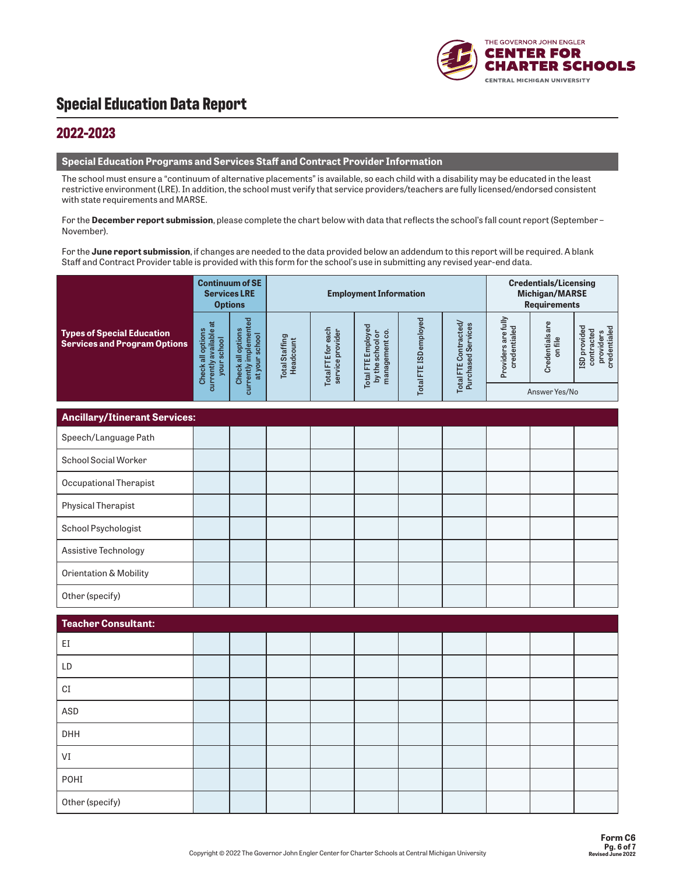

#### **2022-2023**

#### **Special Education Programs and Services Staff and Contract Provider Information**

The school must ensure a "continuum of alternative placements" is available, so each child with a disability may be educated in the least restrictive environment (LRE). In addition, the school must verify that service providers/teachers are fully licensed/endorsed consistent with state requirements and MARSE.

For the **December report submission**, please complete the chart below with data that reflects the school's fall count report (September – November).

For the **June report submission**, if changes are needed to the data provided below an addendum to this report will be required. A blank Staff and Contract Provider table is provided with this form for the school's use in submitting any revised year-end data.

|                                                                          | <b>Continuum of SE</b><br><b>Services LRE</b><br><b>Options</b> |                                                              |                             |                                        | <b>Employment Information</b>                            | <b>Credentials/Licensing</b><br><b>Michigan/MARSE</b><br><b>Requirements</b> |                                             |                                     |                            |                                                         |
|--------------------------------------------------------------------------|-----------------------------------------------------------------|--------------------------------------------------------------|-----------------------------|----------------------------------------|----------------------------------------------------------|------------------------------------------------------------------------------|---------------------------------------------|-------------------------------------|----------------------------|---------------------------------------------------------|
| <b>Types of Special Education</b><br><b>Services and Program Options</b> | currently available at<br>Check all options<br>your school      | currently implemented<br>Check all options<br>at your school | Total Staffing<br>Headcount | Total FTE for each<br>service provider | Total FTE Employed<br>by the school or<br>management co. | Total FTE ISD employed                                                       | Total FTE Contracted/<br>Purchased Services | Providers are fully<br>credentialed | Credentials are<br>on file | ISD provided<br>providers<br>credentialed<br>contracted |
|                                                                          |                                                                 |                                                              |                             |                                        |                                                          |                                                                              |                                             |                                     | Answer Yes/No              |                                                         |
| <b>Ancillary/Itinerant Services:</b>                                     |                                                                 |                                                              |                             |                                        |                                                          |                                                                              |                                             |                                     |                            |                                                         |
| Speech/Language Path                                                     |                                                                 |                                                              |                             |                                        |                                                          |                                                                              |                                             |                                     |                            |                                                         |
| School Social Worker                                                     |                                                                 |                                                              |                             |                                        |                                                          |                                                                              |                                             |                                     |                            |                                                         |
| Occupational Therapist                                                   |                                                                 |                                                              |                             |                                        |                                                          |                                                                              |                                             |                                     |                            |                                                         |
| <b>Physical Therapist</b>                                                |                                                                 |                                                              |                             |                                        |                                                          |                                                                              |                                             |                                     |                            |                                                         |
| School Psychologist                                                      |                                                                 |                                                              |                             |                                        |                                                          |                                                                              |                                             |                                     |                            |                                                         |
| Assistive Technology                                                     |                                                                 |                                                              |                             |                                        |                                                          |                                                                              |                                             |                                     |                            |                                                         |
| <b>Orientation &amp; Mobility</b>                                        |                                                                 |                                                              |                             |                                        |                                                          |                                                                              |                                             |                                     |                            |                                                         |
| Other (specify)                                                          |                                                                 |                                                              |                             |                                        |                                                          |                                                                              |                                             |                                     |                            |                                                         |
| <b>Teacher Consultant:</b>                                               |                                                                 |                                                              |                             |                                        |                                                          |                                                                              |                                             |                                     |                            |                                                         |
| EI                                                                       |                                                                 |                                                              |                             |                                        |                                                          |                                                                              |                                             |                                     |                            |                                                         |
| LD                                                                       |                                                                 |                                                              |                             |                                        |                                                          |                                                                              |                                             |                                     |                            |                                                         |
| $\mathbb{C}\mathbb{I}$                                                   |                                                                 |                                                              |                             |                                        |                                                          |                                                                              |                                             |                                     |                            |                                                         |
| ASD                                                                      |                                                                 |                                                              |                             |                                        |                                                          |                                                                              |                                             |                                     |                            |                                                         |
| DHH                                                                      |                                                                 |                                                              |                             |                                        |                                                          |                                                                              |                                             |                                     |                            |                                                         |
| VI                                                                       |                                                                 |                                                              |                             |                                        |                                                          |                                                                              |                                             |                                     |                            |                                                         |
| POHI                                                                     |                                                                 |                                                              |                             |                                        |                                                          |                                                                              |                                             |                                     |                            |                                                         |
| Other (specify)                                                          |                                                                 |                                                              |                             |                                        |                                                          |                                                                              |                                             |                                     |                            |                                                         |